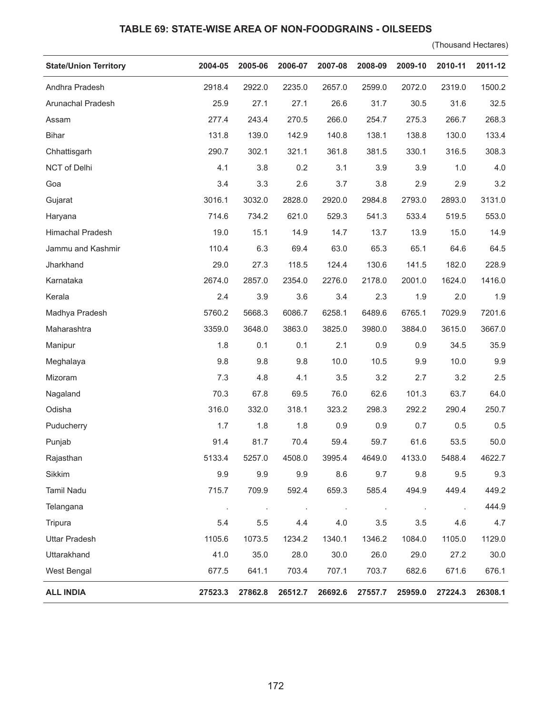## **TABLE 69: STATE-WISE AREA OF NON-FOODGRAINS - OILSEEDS**

(Thousand Hectares)

| <b>State/Union Territory</b> | 2004-05 | 2005-06 | 2006-07 | 2007-08 | 2008-09 | 2009-10 | 2010-11 | 2011-12 |
|------------------------------|---------|---------|---------|---------|---------|---------|---------|---------|
| Andhra Pradesh               | 2918.4  | 2922.0  | 2235.0  | 2657.0  | 2599.0  | 2072.0  | 2319.0  | 1500.2  |
| Arunachal Pradesh            | 25.9    | 27.1    | 27.1    | 26.6    | 31.7    | 30.5    | 31.6    | 32.5    |
| Assam                        | 277.4   | 243.4   | 270.5   | 266.0   | 254.7   | 275.3   | 266.7   | 268.3   |
| <b>Bihar</b>                 | 131.8   | 139.0   | 142.9   | 140.8   | 138.1   | 138.8   | 130.0   | 133.4   |
| Chhattisgarh                 | 290.7   | 302.1   | 321.1   | 361.8   | 381.5   | 330.1   | 316.5   | 308.3   |
| NCT of Delhi                 | 4.1     | 3.8     | 0.2     | 3.1     | 3.9     | 3.9     | 1.0     | 4.0     |
| Goa                          | 3.4     | 3.3     | 2.6     | 3.7     | 3.8     | 2.9     | 2.9     | 3.2     |
| Gujarat                      | 3016.1  | 3032.0  | 2828.0  | 2920.0  | 2984.8  | 2793.0  | 2893.0  | 3131.0  |
| Haryana                      | 714.6   | 734.2   | 621.0   | 529.3   | 541.3   | 533.4   | 519.5   | 553.0   |
| Himachal Pradesh             | 19.0    | 15.1    | 14.9    | 14.7    | 13.7    | 13.9    | 15.0    | 14.9    |
| Jammu and Kashmir            | 110.4   | 6.3     | 69.4    | 63.0    | 65.3    | 65.1    | 64.6    | 64.5    |
| Jharkhand                    | 29.0    | 27.3    | 118.5   | 124.4   | 130.6   | 141.5   | 182.0   | 228.9   |
| Karnataka                    | 2674.0  | 2857.0  | 2354.0  | 2276.0  | 2178.0  | 2001.0  | 1624.0  | 1416.0  |
| Kerala                       | 2.4     | 3.9     | 3.6     | 3.4     | 2.3     | 1.9     | 2.0     | 1.9     |
| Madhya Pradesh               | 5760.2  | 5668.3  | 6086.7  | 6258.1  | 6489.6  | 6765.1  | 7029.9  | 7201.6  |
| Maharashtra                  | 3359.0  | 3648.0  | 3863.0  | 3825.0  | 3980.0  | 3884.0  | 3615.0  | 3667.0  |
| Manipur                      | 1.8     | 0.1     | 0.1     | 2.1     | 0.9     | 0.9     | 34.5    | 35.9    |
| Meghalaya                    | 9.8     | 9.8     | 9.8     | 10.0    | 10.5    | 9.9     | 10.0    | 9.9     |
| Mizoram                      | 7.3     | 4.8     | 4.1     | 3.5     | 3.2     | 2.7     | 3.2     | 2.5     |
| Nagaland                     | 70.3    | 67.8    | 69.5    | 76.0    | 62.6    | 101.3   | 63.7    | 64.0    |
| Odisha                       | 316.0   | 332.0   | 318.1   | 323.2   | 298.3   | 292.2   | 290.4   | 250.7   |
| Puducherry                   | 1.7     | 1.8     | 1.8     | 0.9     | 0.9     | 0.7     | 0.5     | 0.5     |
| Punjab                       | 91.4    | 81.7    | 70.4    | 59.4    | 59.7    | 61.6    | 53.5    | 50.0    |
| Rajasthan                    | 5133.4  | 5257.0  | 4508.0  | 3995.4  | 4649.0  | 4133.0  | 5488.4  | 4622.7  |
| Sikkim                       | 9.9     | 9.9     | 9.9     | 8.6     | 9.7     | 9.8     | 9.5     | 9.3     |
| <b>Tamil Nadu</b>            | 715.7   | 709.9   | 592.4   | 659.3   | 585.4   | 494.9   | 449.4   | 449.2   |
| Telangana                    |         |         |         |         |         | $\cdot$ |         | 444.9   |
| Tripura                      | 5.4     | 5.5     | 4.4     | 4.0     | 3.5     | 3.5     | 4.6     | 4.7     |
| <b>Uttar Pradesh</b>         | 1105.6  | 1073.5  | 1234.2  | 1340.1  | 1346.2  | 1084.0  | 1105.0  | 1129.0  |
| Uttarakhand                  | 41.0    | 35.0    | 28.0    | 30.0    | 26.0    | 29.0    | 27.2    | 30.0    |
| West Bengal                  | 677.5   | 641.1   | 703.4   | 707.1   | 703.7   | 682.6   | 671.6   | 676.1   |
| <b>ALL INDIA</b>             | 27523.3 | 27862.8 | 26512.7 | 26692.6 | 27557.7 | 25959.0 | 27224.3 | 26308.1 |